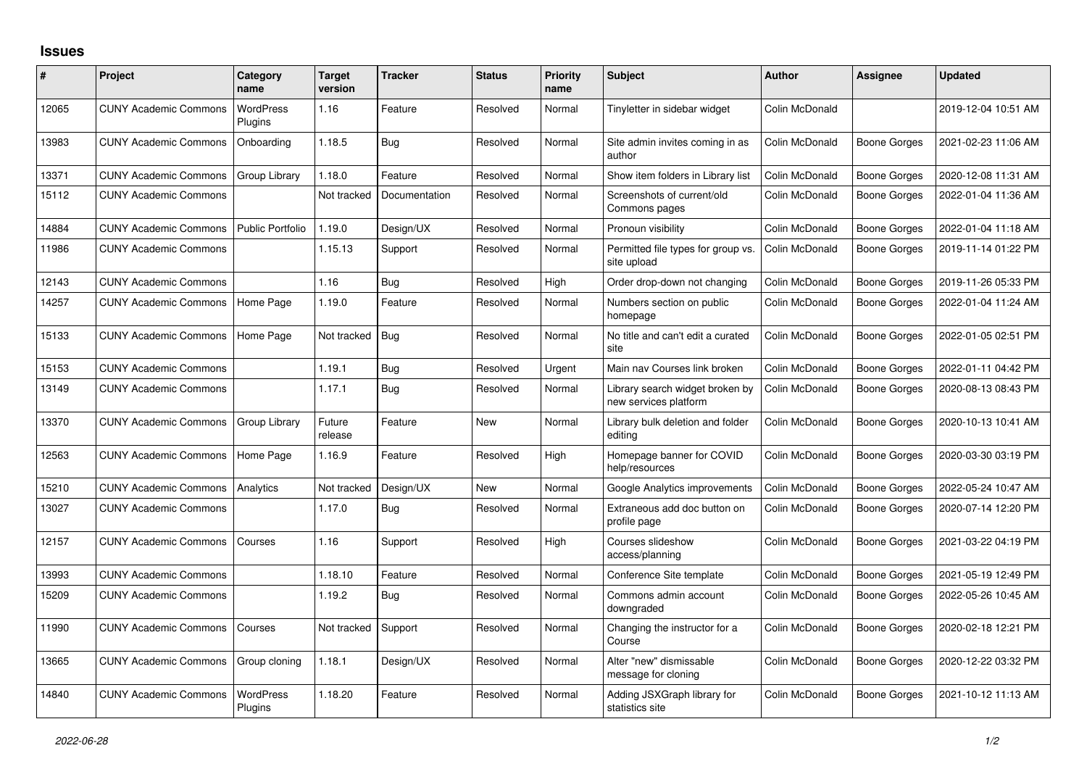## **Issues**

| #     | <b>Project</b>               | Category<br>name            | <b>Target</b><br>version | <b>Tracker</b> | <b>Status</b> | <b>Priority</b><br>name | <b>Subject</b>                                           | <b>Author</b>  | Assignee            | <b>Updated</b>      |
|-------|------------------------------|-----------------------------|--------------------------|----------------|---------------|-------------------------|----------------------------------------------------------|----------------|---------------------|---------------------|
| 12065 | <b>CUNY Academic Commons</b> | <b>WordPress</b><br>Plugins | 1.16                     | Feature        | Resolved      | Normal                  | Tinyletter in sidebar widget                             | Colin McDonald |                     | 2019-12-04 10:51 AM |
| 13983 | <b>CUNY Academic Commons</b> | Onboarding                  | 1.18.5                   | Bug            | Resolved      | Normal                  | Site admin invites coming in as<br>author                | Colin McDonald | Boone Gorges        | 2021-02-23 11:06 AM |
| 13371 | <b>CUNY Academic Commons</b> | Group Library               | 1.18.0                   | Feature        | Resolved      | Normal                  | Show item folders in Library list                        | Colin McDonald | <b>Boone Gorges</b> | 2020-12-08 11:31 AM |
| 15112 | <b>CUNY Academic Commons</b> |                             | Not tracked              | Documentation  | Resolved      | Normal                  | Screenshots of current/old<br>Commons pages              | Colin McDonald | Boone Gorges        | 2022-01-04 11:36 AM |
| 14884 | <b>CUNY Academic Commons</b> | <b>Public Portfolio</b>     | 1.19.0                   | Design/UX      | Resolved      | Normal                  | Pronoun visibility                                       | Colin McDonald | <b>Boone Gorges</b> | 2022-01-04 11:18 AM |
| 11986 | <b>CUNY Academic Commons</b> |                             | 1.15.13                  | Support        | Resolved      | Normal                  | Permitted file types for group vs.<br>site upload        | Colin McDonald | Boone Gorges        | 2019-11-14 01:22 PM |
| 12143 | <b>CUNY Academic Commons</b> |                             | 1.16                     | Bug            | Resolved      | High                    | Order drop-down not changing                             | Colin McDonald | <b>Boone Gorges</b> | 2019-11-26 05:33 PM |
| 14257 | <b>CUNY Academic Commons</b> | Home Page                   | 1.19.0                   | Feature        | Resolved      | Normal                  | Numbers section on public<br>homepage                    | Colin McDonald | Boone Gorges        | 2022-01-04 11:24 AM |
| 15133 | <b>CUNY Academic Commons</b> | Home Page                   | Not tracked              | Bug            | Resolved      | Normal                  | No title and can't edit a curated<br>site                | Colin McDonald | Boone Gorges        | 2022-01-05 02:51 PM |
| 15153 | <b>CUNY Academic Commons</b> |                             | 1.19.1                   | Bug            | Resolved      | Urgent                  | Main nav Courses link broken                             | Colin McDonald | Boone Gorges        | 2022-01-11 04:42 PM |
| 13149 | <b>CUNY Academic Commons</b> |                             | 1.17.1                   | <b>Bug</b>     | Resolved      | Normal                  | Library search widget broken by<br>new services platform | Colin McDonald | Boone Gorges        | 2020-08-13 08:43 PM |
| 13370 | <b>CUNY Academic Commons</b> | Group Library               | Future<br>release        | Feature        | <b>New</b>    | Normal                  | Library bulk deletion and folder<br>editing              | Colin McDonald | Boone Gorges        | 2020-10-13 10:41 AM |
| 12563 | <b>CUNY Academic Commons</b> | Home Page                   | 1.16.9                   | Feature        | Resolved      | High                    | Homepage banner for COVID<br>help/resources              | Colin McDonald | Boone Gorges        | 2020-03-30 03:19 PM |
| 15210 | <b>CUNY Academic Commons</b> | Analytics                   | Not tracked              | Design/UX      | <b>New</b>    | Normal                  | Google Analytics improvements                            | Colin McDonald | Boone Gorges        | 2022-05-24 10:47 AM |
| 13027 | <b>CUNY Academic Commons</b> |                             | 1.17.0                   | <b>Bug</b>     | Resolved      | Normal                  | Extraneous add doc button on<br>profile page             | Colin McDonald | Boone Gorges        | 2020-07-14 12:20 PM |
| 12157 | <b>CUNY Academic Commons</b> | Courses                     | 1.16                     | Support        | Resolved      | High                    | Courses slideshow<br>access/planning                     | Colin McDonald | Boone Gorges        | 2021-03-22 04:19 PM |
| 13993 | <b>CUNY Academic Commons</b> |                             | 1.18.10                  | Feature        | Resolved      | Normal                  | Conference Site template                                 | Colin McDonald | Boone Gorges        | 2021-05-19 12:49 PM |
| 15209 | <b>CUNY Academic Commons</b> |                             | 1.19.2                   | <b>Bug</b>     | Resolved      | Normal                  | Commons admin account<br>downgraded                      | Colin McDonald | Boone Gorges        | 2022-05-26 10:45 AM |
| 11990 | <b>CUNY Academic Commons</b> | Courses                     | Not tracked              | Support        | Resolved      | Normal                  | Changing the instructor for a<br>Course                  | Colin McDonald | Boone Gorges        | 2020-02-18 12:21 PM |
| 13665 | <b>CUNY Academic Commons</b> | Group cloning               | 1.18.1                   | Design/UX      | Resolved      | Normal                  | Alter "new" dismissable<br>message for cloning           | Colin McDonald | Boone Gorges        | 2020-12-22 03:32 PM |
| 14840 | <b>CUNY Academic Commons</b> | <b>WordPress</b><br>Plugins | 1.18.20                  | Feature        | Resolved      | Normal                  | Adding JSXGraph library for<br>statistics site           | Colin McDonald | Boone Gorges        | 2021-10-12 11:13 AM |